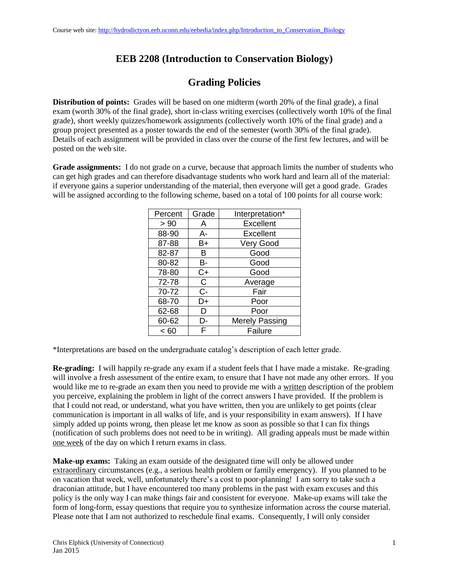## **EEB 2208 (Introduction to Conservation Biology)**

## **Grading Policies**

**Distribution of points:** Grades will be based on one midterm (worth 20% of the final grade), a final exam (worth 30% of the final grade), short in-class writing exercises (collectively worth 10% of the final grade), short weekly quizzes/homework assignments (collectively worth 10% of the final grade) and a group project presented as a poster towards the end of the semester (worth 30% of the final grade). Details of each assignment will be provided in class over the course of the first few lectures, and will be posted on the web site.

**Grade assignments:** I do not grade on a curve, because that approach limits the number of students who can get high grades and can therefore disadvantage students who work hard and learn all of the material: if everyone gains a superior understanding of the material, then everyone will get a good grade. Grades will be assigned according to the following scheme, based on a total of 100 points for all course work:

| Percent | Grade | Interpretation*       |
|---------|-------|-----------------------|
| > 90    | A     | Excellent             |
| 88-90   | А-    | <b>Excellent</b>      |
| 87-88   | B+    | <b>Very Good</b>      |
| 82-87   | В     | Good                  |
| 80-82   | В-    | Good                  |
| 78-80   | C+    | Good                  |
| 72-78   | С     | Average               |
| 70-72   | $C -$ | Fair                  |
| 68-70   | D+    | Poor                  |
| 62-68   | D     | Poor                  |
| 60-62   | D-    | <b>Merely Passing</b> |
| < 60    | F     | Failure               |

\*Interpretations are based on the undergraduate catalog's description of each letter grade.

**Re-grading:** I will happily re-grade any exam if a student feels that I have made a mistake. Re-grading will involve a fresh assessment of the entire exam, to ensure that I have not made any other errors. If you would like me to re-grade an exam then you need to provide me with a written description of the problem you perceive, explaining the problem in light of the correct answers I have provided. If the problem is that I could not read, or understand, what you have written, then you are unlikely to get points (clear communication is important in all walks of life, and is your responsibility in exam answers). If I have simply added up points wrong, then please let me know as soon as possible so that I can fix things (notification of such problems does not need to be in writing). All grading appeals must be made within one week of the day on which I return exams in class.

**Make-up exams:** Taking an exam outside of the designated time will only be allowed under extraordinary circumstances (e.g., a serious health problem or family emergency). If you planned to be on vacation that week, well, unfortunately there's a cost to poor-planning! I am sorry to take such a draconian attitude, but I have encountered too many problems in the past with exam excuses and this policy is the only way I can make things fair and consistent for everyone. Make-up exams will take the form of long-form, essay questions that require you to synthesize information across the course material. Please note that I am not authorized to reschedule final exams. Consequently, I will only consider